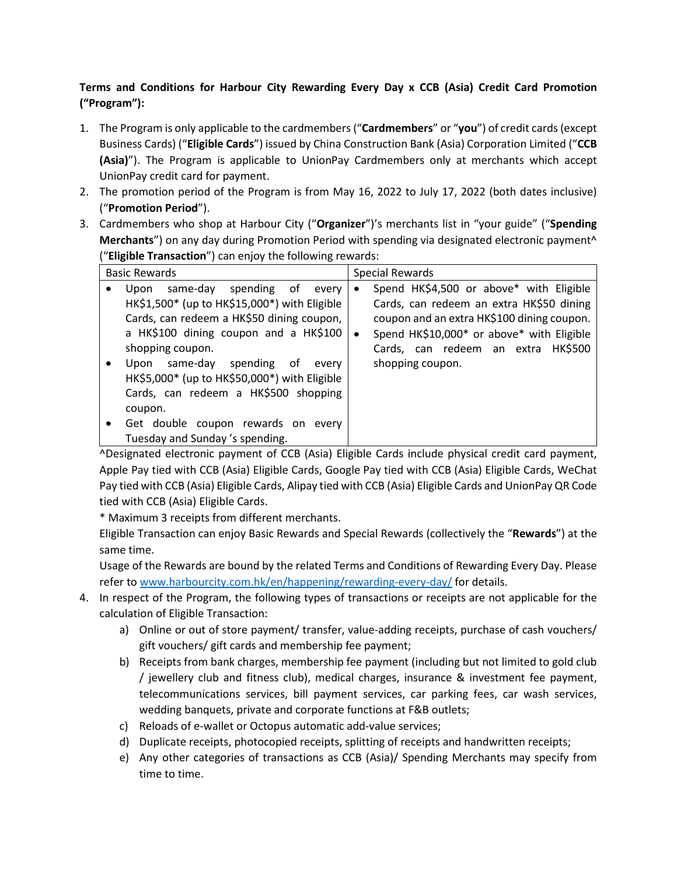## **Terms and Conditions for Harbour City Rewarding Every Day x CCB (Asia) Credit Card Promotion ("Program"):**

- 1. The Program is only applicable to the cardmembers ("**Cardmembers**" or "**you**") of credit cards (except Business Cards) ("**Eligible Cards**") issued by China Construction Bank (Asia) Corporation Limited ("**CCB (Asia)**"). The Program is applicable to UnionPay Cardmembers only at merchants which accept UnionPay credit card for payment.
- 2. The promotion period of the Program is from May 16, 2022 to July 17, 2022 (both dates inclusive) ("**Promotion Period**").
- 3. Cardmembers who shop at Harbour City ("**Organizer**")'s merchants list in "your guide" ("**Spending Merchants**") on any day during Promotion Period with spending via designated electronic payment^ ("**Eligible Transaction**") can enjoy the following rewards:

| <b>Basic Rewards</b> |                                                                                                                                                                                                                                                                                                 | Special Rewards        |                                                                                                                                                                                                                                          |
|----------------------|-------------------------------------------------------------------------------------------------------------------------------------------------------------------------------------------------------------------------------------------------------------------------------------------------|------------------------|------------------------------------------------------------------------------------------------------------------------------------------------------------------------------------------------------------------------------------------|
| ٠                    | same-day spending<br>of.<br>Upon<br>every<br>HK\$1,500* (up to HK\$15,000*) with Eligible<br>Cards, can redeem a HK\$50 dining coupon,<br>a HK\$100 dining coupon and a HK\$100<br>shopping coupon.<br>same-day spending<br>of<br>Upon<br>every<br>HK\$5,000* (up to HK\$50,000*) with Eligible | $\bullet$<br>$\bullet$ | Spend HK\$4,500 or above* with Eligible<br>Cards, can redeem an extra HK\$50 dining<br>coupon and an extra HK\$100 dining coupon.<br>Spend HK\$10,000* or above* with Eligible<br>Cards, can redeem an extra HK\$500<br>shopping coupon. |
|                      | Cards, can redeem a HK\$500 shopping<br>coupon.<br>Get double coupon rewards on every<br>Tuesday and Sunday's spending.                                                                                                                                                                         |                        |                                                                                                                                                                                                                                          |

^Designated electronic payment of CCB (Asia) Eligible Cards include physical credit card payment, Apple Pay tied with CCB (Asia) Eligible Cards, Google Pay tied with CCB (Asia) Eligible Cards, WeChat Pay tied with CCB (Asia) Eligible Cards, Alipay tied with CCB (Asia) Eligible Cards and UnionPay QR Code tied with CCB (Asia) Eligible Cards.

\* Maximum 3 receipts from different merchants.

Eligible Transaction can enjoy Basic Rewards and Special Rewards (collectively the "**Rewards**") at the same time.

Usage of the Rewards are bound by the related Terms and Conditions of Rewarding Every Day. Please refer t[o www.harbourcity.com.hk/en/happening/rewarding-every-day/](http://www.harbourcity.com.hk/en/happening/rewarding-every-day/) for details.

- 4. In respect of the Program, the following types of transactions or receipts are not applicable for the calculation of Eligible Transaction:
	- a) Online or out of store payment/ transfer, value-adding receipts, purchase of cash vouchers/ gift vouchers/ gift cards and membership fee payment;
	- b) Receipts from bank charges, membership fee payment (including but not limited to gold club / jewellery club and fitness club), medical charges, insurance & investment fee payment, telecommunications services, bill payment services, car parking fees, car wash services, wedding banquets, private and corporate functions at F&B outlets;
	- c) Reloads of e-wallet or Octopus automatic add-value services;
	- d) Duplicate receipts, photocopied receipts, splitting of receipts and handwritten receipts;
	- e) Any other categories of transactions as CCB (Asia)/ Spending Merchants may specify from time to time.